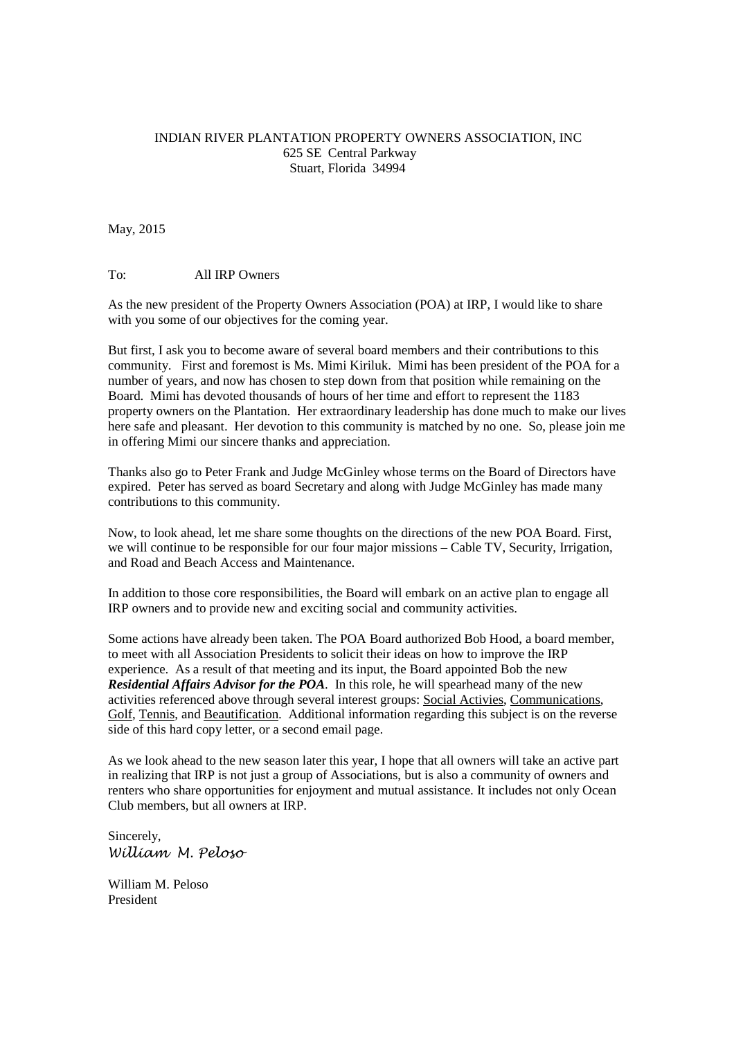## INDIAN RIVER PLANTATION PROPERTY OWNERS ASSOCIATION, INC 625 SE Central Parkway Stuart, Florida 34994

## May, 2015

## To: All IRP Owners

As the new president of the Property Owners Association (POA) at IRP, I would like to share with you some of our objectives for the coming year.

But first, I ask you to become aware of several board members and their contributions to this community. First and foremost is Ms. Mimi Kiriluk. Mimi has been president of the POA for a number of years, and now has chosen to step down from that position while remaining on the Board. Mimi has devoted thousands of hours of her time and effort to represent the 1183 property owners on the Plantation. Her extraordinary leadership has done much to make our lives here safe and pleasant. Her devotion to this community is matched by no one. So, please join me in offering Mimi our sincere thanks and appreciation.

Thanks also go to Peter Frank and Judge McGinley whose terms on the Board of Directors have expired. Peter has served as board Secretary and along with Judge McGinley has made many contributions to this community.

Now, to look ahead, let me share some thoughts on the directions of the new POA Board. First, we will continue to be responsible for our four major missions – Cable TV, Security, Irrigation, and Road and Beach Access and Maintenance.

In addition to those core responsibilities, the Board will embark on an active plan to engage all IRP owners and to provide new and exciting social and community activities.

Some actions have already been taken. The POA Board authorized Bob Hood, a board member, to meet with all Association Presidents to solicit their ideas on how to improve the IRP experience. As a result of that meeting and its input, the Board appointed Bob the new *Residential Affairs Advisor for the POA*. In this role, he will spearhead many of the new activities referenced above through several interest groups: Social Activies, Communications, Golf, Tennis, and Beautification. Additional information regarding this subject is on the reverse side of this hard copy letter, or a second email page.

As we look ahead to the new season later this year, I hope that all owners will take an active part in realizing that IRP is not just a group of Associations, but is also a community of owners and renters who share opportunities for enjoyment and mutual assistance. It includes not only Ocean Club members, but all owners at IRP.

Sincerely, William M. Peloso

William M. Peloso President